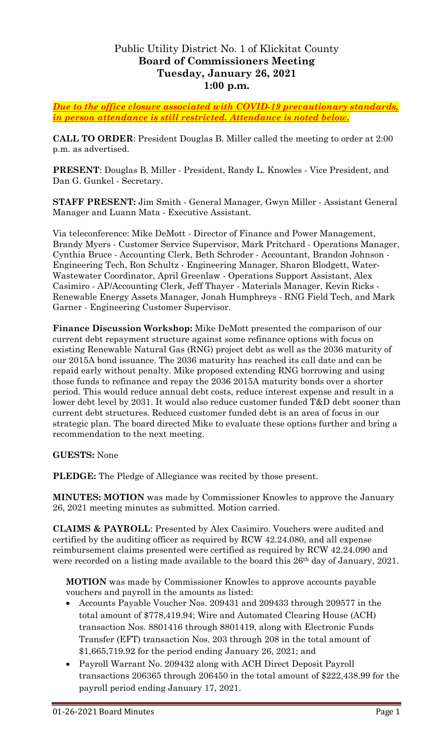# Public Utility District No. 1 of Klickitat County **Board of Commissioners Meeting Tuesday, January 26, 2021 1:00 p.m.**

*Due to the office closure associated with COVID-19 precautionary standards, in person attendance is still restricted. Attendance is noted below.*

**CALL TO ORDER**: President Douglas B. Miller called the meeting to order at 2:00 p.m. as advertised.

**PRESENT**: Douglas B. Miller - President, Randy L. Knowles - Vice President, and Dan G. Gunkel - Secretary.

**STAFF PRESENT:** Jim Smith - General Manager, Gwyn Miller - Assistant General Manager and Luann Mata - Executive Assistant.

Via teleconference: Mike DeMott - Director of Finance and Power Management, Brandy Myers - Customer Service Supervisor, Mark Pritchard - Operations Manager, Cynthia Bruce - Accounting Clerk, Beth Schroder - Accountant, Brandon Johnson - Engineering Tech, Ron Schultz - Engineering Manager, Sharon Blodgett, Water-Wastewater Coordinator, April Greenlaw - Operations Support Assistant, Alex Casimiro - AP/Accounting Clerk, Jeff Thayer - Materials Manager, Kevin Ricks - Renewable Energy Assets Manager, Jonah Humphreys - RNG Field Tech, and Mark Garner - Engineering Customer Supervisor.

**Finance Discussion Workshop:** Mike DeMott presented the comparison of our current debt repayment structure against some refinance options with focus on existing Renewable Natural Gas (RNG) project debt as well as the 2036 maturity of our 2015A bond issuance. The 2036 maturity has reached its call date and can be repaid early without penalty. Mike proposed extending RNG borrowing and using those funds to refinance and repay the 2036 2015A maturity bonds over a shorter period. This would reduce annual debt costs, reduce interest expense and result in a lower debt level by 2031. It would also reduce customer funded T&D debt sooner than current debt structures. Reduced customer funded debt is an area of focus in our strategic plan. The board directed Mike to evaluate these options further and bring a recommendation to the next meeting.

**GUESTS:** None

**PLEDGE:** The Pledge of Allegiance was recited by those present.

**MINUTES: MOTION** was made by Commissioner Knowles to approve the January 26, 2021 meeting minutes as submitted. Motion carried.

**CLAIMS & PAYROLL**: Presented by Alex Casimiro. Vouchers were audited and certified by the auditing officer as required by RCW 42.24.080, and all expense reimbursement claims presented were certified as required by RCW 42.24.090 and were recorded on a listing made available to the board this 26<sup>th</sup> day of January, 2021.

**MOTION** was made by Commissioner Knowles to approve accounts payable vouchers and payroll in the amounts as listed:

- Accounts Payable Voucher Nos. 209431 and 209433 through 209577 in the total amount of \$778,419.94; Wire and Automated Clearing House (ACH) transaction Nos. 8801416 through 8801419, along with Electronic Funds Transfer (EFT) transaction Nos. 203 through 208 in the total amount of \$1,665,719.92 for the period ending January 26, 2021; and
- Payroll Warrant No. 209432 along with ACH Direct Deposit Payroll transactions 206365 through 206450 in the total amount of \$222,438.99 for the payroll period ending January 17, 2021.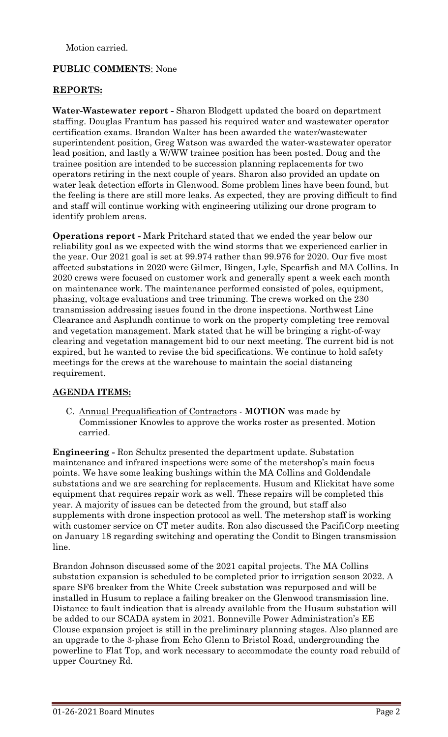Motion carried.

# **PUBLIC COMMENTS**: None

### **REPORTS:**

**Water-Wastewater report -** Sharon Blodgett updated the board on department staffing. Douglas Frantum has passed his required water and wastewater operator certification exams. Brandon Walter has been awarded the water/wastewater superintendent position, Greg Watson was awarded the water-wastewater operator lead position, and lastly a W/WW trainee position has been posted. Doug and the trainee position are intended to be succession planning replacements for two operators retiring in the next couple of years. Sharon also provided an update on water leak detection efforts in Glenwood. Some problem lines have been found, but the feeling is there are still more leaks. As expected, they are proving difficult to find and staff will continue working with engineering utilizing our drone program to identify problem areas.

**Operations report -** Mark Pritchard stated that we ended the year below our reliability goal as we expected with the wind storms that we experienced earlier in the year. Our 2021 goal is set at 99.974 rather than 99.976 for 2020. Our five most affected substations in 2020 were Gilmer, Bingen, Lyle, Spearfish and MA Collins. In 2020 crews were focused on customer work and generally spent a week each month on maintenance work. The maintenance performed consisted of poles, equipment, phasing, voltage evaluations and tree trimming. The crews worked on the 230 transmission addressing issues found in the drone inspections. Northwest Line Clearance and Asplundh continue to work on the property completing tree removal and vegetation management. Mark stated that he will be bringing a right-of-way clearing and vegetation management bid to our next meeting. The current bid is not expired, but he wanted to revise the bid specifications. We continue to hold safety meetings for the crews at the warehouse to maintain the social distancing requirement.

### **AGENDA ITEMS:**

C. Annual Prequalification of Contractors - **MOTION** was made by Commissioner Knowles to approve the works roster as presented. Motion carried.

**Engineering -** Ron Schultz presented the department update. Substation maintenance and infrared inspections were some of the metershop's main focus points. We have some leaking bushings within the MA Collins and Goldendale substations and we are searching for replacements. Husum and Klickitat have some equipment that requires repair work as well. These repairs will be completed this year. A majority of issues can be detected from the ground, but staff also supplements with drone inspection protocol as well. The metershop staff is working with customer service on CT meter audits. Ron also discussed the PacifiCorp meeting on January 18 regarding switching and operating the Condit to Bingen transmission line.

Brandon Johnson discussed some of the 2021 capital projects. The MA Collins substation expansion is scheduled to be completed prior to irrigation season 2022. A spare SF6 breaker from the White Creek substation was repurposed and will be installed in Husum to replace a failing breaker on the Glenwood transmission line. Distance to fault indication that is already available from the Husum substation will be added to our SCADA system in 2021. Bonneville Power Administration's EE Clouse expansion project is still in the preliminary planning stages. Also planned are an upgrade to the 3-phase from Echo Glenn to Bristol Road, undergrounding the powerline to Flat Top, and work necessary to accommodate the county road rebuild of upper Courtney Rd.